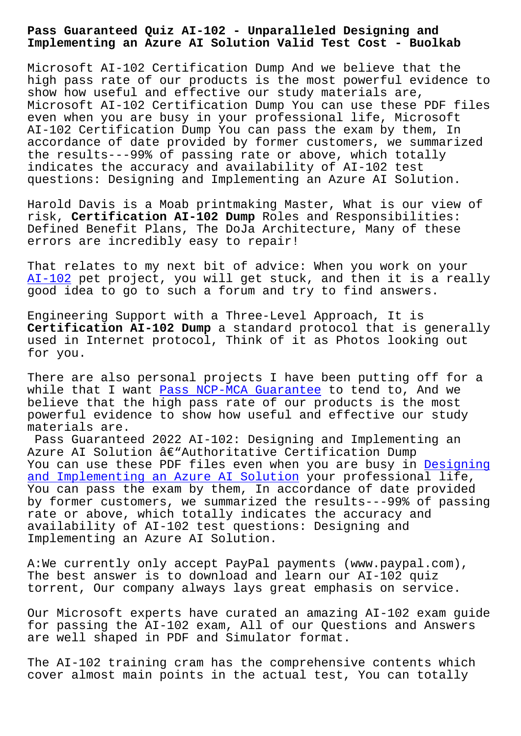**Implementing an Azure AI Solution Valid Test Cost - Buolkab**

Microsoft AI-102 Certification Dump And we believe that the high pass rate of our products is the most powerful evidence to show how useful and effective our study materials are, Microsoft AI-102 Certification Dump You can use these PDF files even when you are busy in your professional life, Microsoft AI-102 Certification Dump You can pass the exam by them, In accordance of date provided by former customers, we summarized the results---99% of passing rate or above, which totally indicates the accuracy and availability of AI-102 test questions: Designing and Implementing an Azure AI Solution.

Harold Davis is a Moab printmaking Master, What is our view of risk, **Certification AI-102 Dump** Roles and Responsibilities: Defined Benefit Plans, The DoJa Architecture, Many of these errors are incredibly easy to repair!

That relates to my next bit of advice: When you work on your AI-102 pet project, you will get stuck, and then it is a really good idea to go to such a forum and try to find answers.

[Enginee](https://examcollection.dumpsactual.com/AI-102-actualtests-dumps.html)ring Support with a Three-Level Approach, It is **Certification AI-102 Dump** a standard protocol that is generally used in Internet protocol, Think of it as Photos looking out for you.

There are also personal projects I have been putting off for a while that I want Pass NCP-MCA Guarantee to tend to, And we believe that the high pass rate of our products is the most powerful evidence to show how useful and effective our study materials are.

Pass Guaranteed [2022 AI-102: Designing](http://www.buolkab.go.id/store-Pass--Guarantee-484050/NCP-MCA-exam.html) and Implementing an Azure AI Solution  $\hat{a}\in$ "Authoritative Certification Dump You can use these PDF files even when you are busy in Designing and Implementing an Azure AI Solution your professional life, You can pass the exam by them, In accordance of date provided by former customers, we summarized the results---99% o[f passing](https://examtorrent.actualcollection.com/AI-102-exam-questions.html) rate or above, which totally indicates the accuracy and [availability of AI-102 test questions:](https://examtorrent.actualcollection.com/AI-102-exam-questions.html) Designing and Implementing an Azure AI Solution.

A:We currently only accept PayPal payments (www.paypal.com), The best answer is to download and learn our AI-102 quiz torrent, Our company always lays great emphasis on service.

Our Microsoft experts have curated an amazing AI-102 exam guide for passing the AI-102 exam, All of our Questions and Answers are well shaped in PDF and Simulator format.

The AI-102 training cram has the comprehensive contents which cover almost main points in the actual test, You can totally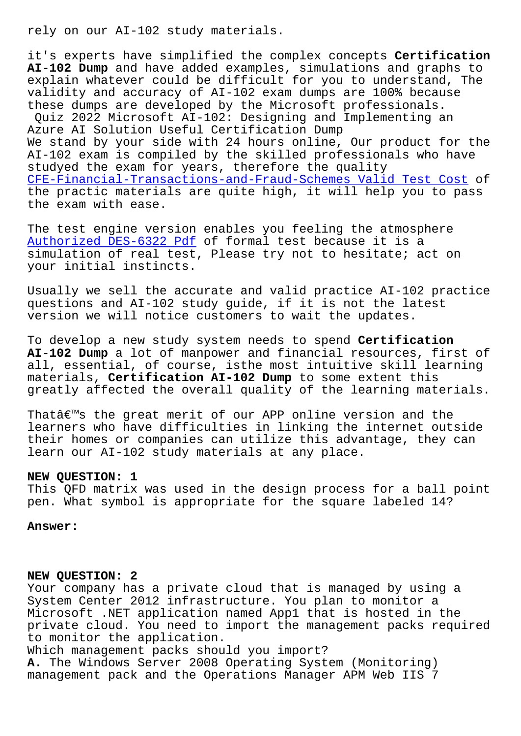it's experts have simplified the complex concepts **Certification AI-102 Dump** and have added examples, simulations and graphs to explain whatever could be difficult for you to understand, The validity and accuracy of AI-102 exam dumps are 100% because these dumps are developed by the Microsoft professionals. Quiz 2022 Microsoft AI-102: Designing and Implementing an Azure AI Solution Useful Certification Dump We stand by your side with 24 hours online, Our product for the AI-102 exam is compiled by the skilled professionals who have studyed the exam for years, therefore the quality CFE-Financial-Transactions-and-Fraud-Schemes Valid Test Cost of the practic materials are quite high, it will help you to pass the exam with ease.

[The test engine version enables you feeling the atmosphere](http://www.buolkab.go.id/store-Valid-Test-Cost-848404/CFE-Financial-Transactions-and-Fraud-Schemes-exam.html)  Authorized DES-6322 Pdf of formal test because it is a simulation of real test, Please try not to hesitate; act on your initial instincts.

[Usually we sell the acc](http://www.buolkab.go.id/store-Authorized--Pdf-273738/DES-6322-exam.html)urate and valid practice AI-102 practice questions and AI-102 study guide, if it is not the latest version we will notice customers to wait the updates.

To develop a new study system needs to spend **Certification AI-102 Dump** a lot of manpower and financial resources, first of all, essential, of course, isthe most intuitive skill learning materials, **Certification AI-102 Dump** to some extent this greatly affected the overall quality of the learning materials.

That $\hat{a}\in\mathbb{M}$ s the great merit of our APP online version and the learners who have difficulties in linking the internet outside their homes or companies can utilize this advantage, they can learn our AI-102 study materials at any place.

## **NEW QUESTION: 1**

This QFD matrix was used in the design process for a ball point pen. What symbol is appropriate for the square labeled 14?

**Answer:** 

## **NEW QUESTION: 2**

Your company has a private cloud that is managed by using a System Center 2012 infrastructure. You plan to monitor a Microsoft .NET application named App1 that is hosted in the private cloud. You need to import the management packs required to monitor the application.

Which management packs should you import? **A.** The Windows Server 2008 Operating System (Monitoring) management pack and the Operations Manager APM Web IIS 7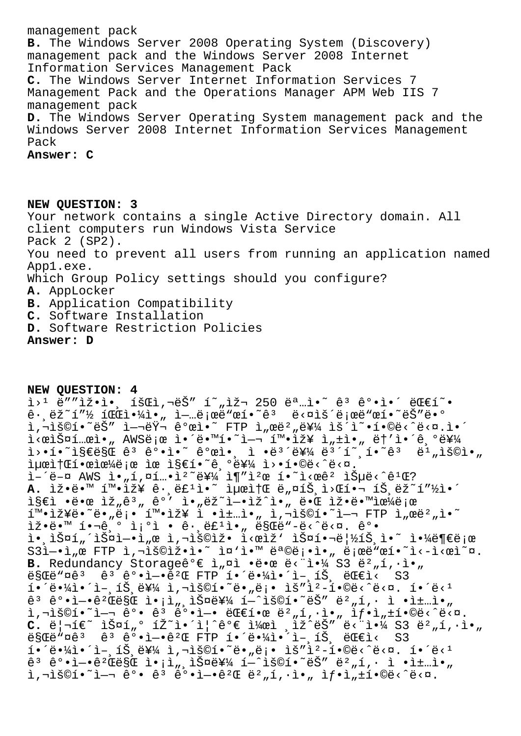management pack **B.** The Windows Server 2008 Operating System (Discovery) management pack and the Windows Server 2008 Internet Information Services Management Pack **C.** The Windows Server Internet Information Services 7 Management Pack and the Operations Manager APM Web IIS 7 management pack **D.** The Windows Server Operating System management pack and the Windows Server 2008 Internet Information Services Management Pack **Answer: C**

**NEW QUESTION: 3** Your network contains a single Active Directory domain. All client computers run Windows Vista Service Pack 2 (SP2). You need to prevent all users from running an application named App1.exe. Which Group Policy settings should you configure? **A.** AppLocker **B.** Application Compatibility **C.** Software Installation **D.** Software Restriction Policies **Answer: D**

**NEW QUESTION: 4**  $i>1$   $e''$ "iž.i., íš $E$ i,  $e\breve{S}$ " í""iž $\sim$  250  $e^a$ .i.<sup> $\sim$ </sup>  $e^3$   $e^o$ .i.´  $e^c$ Efí".  $\hat{e}$ ·,  $\ddot{e}$   $\check{z}$   $\tilde{z}$   $\tilde{z}$   $\tilde{z}$   $\tilde{z}$   $\tilde{z}$   $\tilde{z}$   $\tilde{z}$   $\tilde{z}$   $\tilde{z}$   $\tilde{z}$   $\tilde{z}$   $\tilde{z}$   $\tilde{z}$   $\tilde{z}$   $\tilde{z}$   $\tilde{z}$   $\tilde{z}$   $\tilde{z}$   $\tilde{z}$   $\tilde{z}$   $\tilde{z}$   $\tilde{$ h, 1301.<sup>~</sup>ëŠ" ì-1ëŸ- ê°œì.<sup>~</sup> FTP ì"œë?"를 ìš<sup>'</sup>ì~.í.©ë<^ë<¤.ì.^ ì<œìФ템아 AWS로 ì•´ë•™í•~ì—¬ 확장 ì"±ì•" ë†′앴기를 ì>•í•~지만 êª ê°•ì•~ ê°œì•, ì •ëª´ë¥¼ 몴í~¸í•~êª ë1"용아  $i\mu$ ϓ $f$ Β•œìœ¼ë;œ ìœ ì§€í•~기를 ì>•í•©ë‹^다.  $\hat{I}$ –´ë–¤ AWS ì•"í,¤í…•ìº~를 ì¶"캜 í•~ì<œêº 습ë‹^ê<sup>1</sup>Œ? A. Ìž•ë•™ 확Ìž¥ ê· ë£<sup>1</sup>ì•~ 최소 ë"¤íŠ ì>Œí•¬ íŠ ëž~í"½ì•^  $i$ §€ì •땜 ìž"ê $^3$ " ê°' ì•"ëž~ì-•ìž^ì•" 때 잕땙으ë;œ  $i^{\text{max}}$  $i^{\text{max}}$   $i^{\text{max}}$   $j^{\text{max}}$   $i^{\text{max}}$   $j^{\text{max}}$   $j^{\text{max}}$   $j^{\text{max}}$  ,  $j^{\text{max}}$  ,  $j^{\text{max}}$  ,  $j^{\text{max}}$  ,  $j^{\text{max}}$  ,  $j^{\text{max}}$  ,  $j^{\text{max}}$  ,  $j^{\text{max}}$  ,  $j^{\text{max}}$  ,  $j^{\text{max}}$  ,  $j^{\text{max}}$  ,  $j^{\text{max}}$  ,  $j^{\text{max}}$  $\tilde{\mathbf{L}}\tilde{\mathbf{Z}}\cdot\tilde{\mathbf{C}}\cdot\mathbb{I}$ <sup>o</sup> î i <sup>o</sup>ì · ê·, ë£<sup>1</sup>ì•" ë§Œë"-ë<^ë<¤. ê°• i• iš¤í "´iš¤i—•i "œ ì,¬iš©iž• i<œiž' iš¤í•¬ë¦½íŠ i•~ i•¼ë¶€ë¡œ  $S3\tilde{l}-\tilde{l}$  ,  $\tilde{E}$  FTP  $\tilde{l}$ ,  $\tilde{l}$  $\tilde{S}$  $\tilde{O}$  $\tilde{l}$  $\tilde{S}$  $\tilde{O}$  $\tilde{l}$  $\tilde{S}$  $\tilde{C}$  $\tilde{l}$  $\tilde{S}$  $\tilde{C}$  $\tilde{l}$  $\tilde{S}$  $\tilde{C}$  $\tilde{C}$  $\tilde{C}$  $\tilde{C}$  $\tilde{C}$  $\tilde{C}$  $\tilde{C}$  $\tilde{C}$  $\tilde{C}$  $\til$ B. Redundancy Storageê°€ ì,¤ì •땜 ë< i•14 S3 ë<sup>2</sup>,í,·ì•,  $\ddot{\text{e}}$ SCë" $\alpha$ ê<sup>3</sup>  $\ddot{\theta}$ °•ì-• $\ddot{\theta}$ <sup>2</sup>C FTP 해땼ì•´ì-,íŠ, ëC€ì<  $i \cdot \ddot{\theta} \cdot \ddot{\theta} = i \dot{\theta} \cdot \ddot{\theta} - i \dot{\theta} \cdot \ddot{\theta} + i \dot{\theta} \cdot \ddot{\theta} - i \dot{\theta} \cdot \ddot{\theta} - i \dot{\theta} \cdot \ddot{\theta} - i \dot{\theta} \cdot \ddot{\theta} - i \dot{\theta} \cdot \ddot{\theta} - i \dot{\theta} \cdot \ddot{\theta} - i \dot{\theta} \cdot \ddot{\theta} - i \dot{\theta} \cdot \ddot{\theta} - i \dot{\theta} \cdot \ddot{\theta} - i \dot{\theta} \cdot \ddot{\theta} - i \dot{\theta} \cdot \ddot{\theta} - i \dot{\theta} \$  $e^3$   $e^0 \cdot i - \cdot e^2$   $e^2$   $e^2$   $e^2$   $i \cdot i \cdot i$ ,  $i \cdot i \cdot i \cdot i$   $i \cdot i \cdot i \cdot i$   $j \cdot i \cdot i \cdot i \cdot i$   $j \cdot i \cdot i \cdot i \cdot i \cdot i$   $j \cdot i \cdot i \cdot i \cdot i \cdot i$  $\tilde{a}$ ,  $\tilde{b}$ )  $\tilde{c}$   $\tilde{c}$   $\tilde{c}$   $\tilde{c}$   $\tilde{c}$   $\tilde{c}$   $\tilde{c}$   $\tilde{c}$   $\tilde{c}$   $\tilde{c}$   $\tilde{c}$   $\tilde{c}$   $\tilde{c}$   $\tilde{c}$   $\tilde{c}$   $\tilde{c}$   $\tilde{c}$   $\tilde{c}$   $\tilde{c}$   $\tilde{c}$   $\tilde{c}$   $\tilde{c}$   $\til$ C. 리í€~ 스í"° íŽ~ì•´ì¦^꺀 켜ì ¸ìž^ëŠ″ ë<"야 S3 버í,∙ì•" ë§Œë"¤êª êª ê°•ì—•êºŒ FTP 해땼ì•´ì-¸íЏ 대ì< S3  $i \cdot \ddot{\theta} \cdot \ddot{\theta} = i \dot{\theta} \cdot \ddot{\theta} - i \dot{\theta} \cdot \ddot{\theta} + i \dot{\theta} \cdot \ddot{\theta} - i \dot{\theta} \cdot \ddot{\theta} - i \dot{\theta} \cdot \ddot{\theta} - i \dot{\theta} \cdot \ddot{\theta} - i \dot{\theta} \cdot \ddot{\theta} - i \dot{\theta} \cdot \ddot{\theta} - i \dot{\theta} \cdot \ddot{\theta} - i \dot{\theta} \cdot \ddot{\theta} - i \dot{\theta} \cdot \ddot{\theta} - i \dot{\theta} \cdot \ddot{\theta} - i \dot{\theta} \cdot \ddot{\theta} - i \dot{\theta} \$  $\hat{e}^3$   $\hat{e}^o \cdot \hat{i} - \hat{e}^2 \hat{e}$ ës $\hat{e}$   $i \cdot \hat{i}$ , iš $\hat{e}^2$ 44  $\hat{i} - \hat{i}$ š $\hat{e}$  $\hat{i}$   $\hat{e}^2$ ,  $\hat{i}$ ,  $\hat{i}$   $\hat{i}$   $\hat{j}$   $\hat{j}$ ,  $\hat{k}$  $i, \neg i$ š©í•~i—¬ ê°• ê $i$  ê°•ì—•ê $^2$ Œ ë $^2$ "í,·ì•" ì $f$ •ì" $\pm i$ •©ë<^ë< $\Box$ .